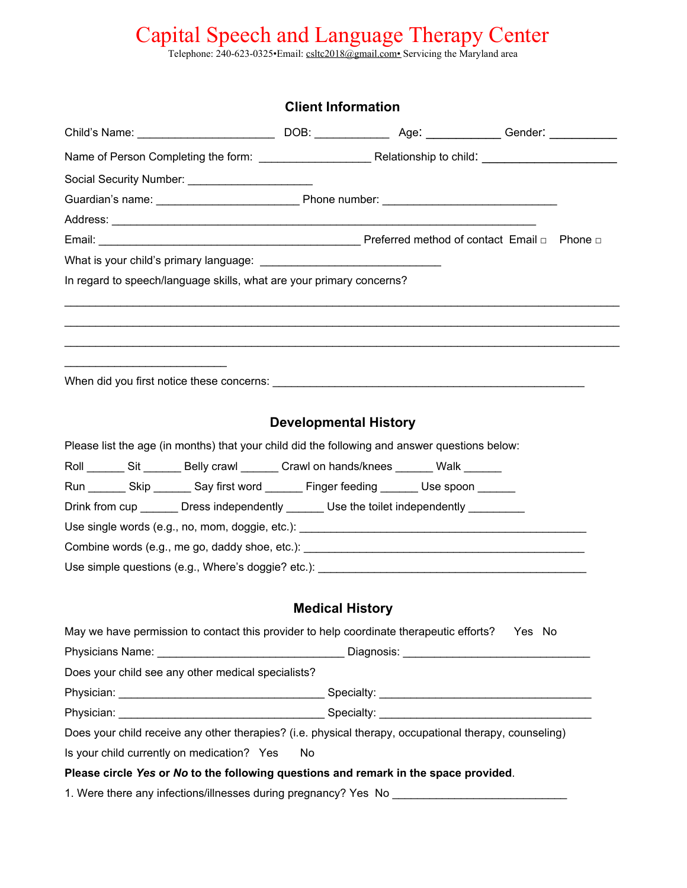Telephone: 240-623-0325•Email: csltc2018@gmail.com• Servicing the Maryland area

|                                                                                                           | <b>Client Information</b>    |  |
|-----------------------------------------------------------------------------------------------------------|------------------------------|--|
| Child's Name: __________________________________DOB: ______________________________Gender: ______________ |                              |  |
|                                                                                                           |                              |  |
|                                                                                                           |                              |  |
|                                                                                                           |                              |  |
|                                                                                                           |                              |  |
|                                                                                                           |                              |  |
|                                                                                                           |                              |  |
| In regard to speech/language skills, what are your primary concerns?                                      |                              |  |
|                                                                                                           |                              |  |
|                                                                                                           |                              |  |
|                                                                                                           |                              |  |
| the control of the control of the control of the control of the control of the control of                 |                              |  |
|                                                                                                           |                              |  |
|                                                                                                           |                              |  |
|                                                                                                           | <b>Developmental History</b> |  |
| Please list the age (in months) that your child did the following and answer questions below:             |                              |  |
| Roll ________ Sit ________ Belly crawl ________ Crawl on hands/knees _______ Walk _______                 |                              |  |
| Run ________ Skip ________ Say first word ________ Finger feeding _______ Use spoon _______               |                              |  |
| Drink from cup ________ Dress independently ________ Use the toilet independently __________              |                              |  |
| Use single words (e.g., no, mom, doggie, etc.): _________________________________                         |                              |  |
|                                                                                                           |                              |  |
| Use simple questions (e.g., Where's doggie? etc.): _____________________________                          |                              |  |
|                                                                                                           |                              |  |
|                                                                                                           | <b>Medical History</b>       |  |
| May we have permission to contact this provider to help coordinate therapeutic efforts?  Yes No           |                              |  |
|                                                                                                           |                              |  |
| Does your child see any other medical specialists?                                                        |                              |  |
|                                                                                                           |                              |  |
|                                                                                                           |                              |  |
| Does your child receive any other therapies? (i.e. physical therapy, occupational therapy, counseling)    |                              |  |
| Is your child currently on medication? Yes                                                                | No                           |  |
| Please circle Yes or No to the following questions and remark in the space provided.                      |                              |  |
| 1. Were there any infections/illnesses during pregnancy? Yes No _________________                         |                              |  |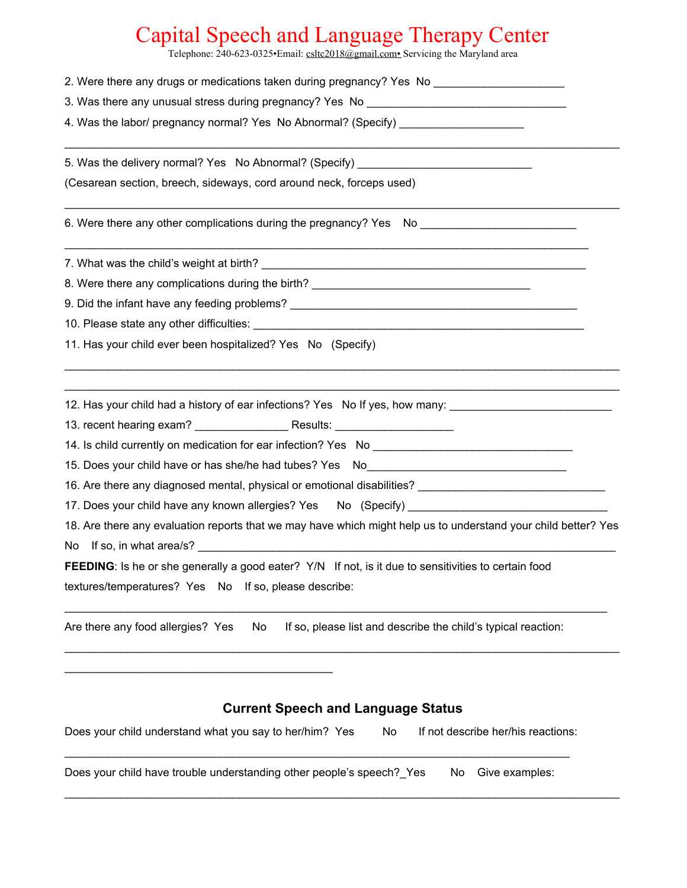Telephone: 240-623-0325•Email: csltc2018@gmail.com• Servicing the Maryland area

| 2. Were there any drugs or medications taken during pregnancy? Yes No                                                                       |
|---------------------------------------------------------------------------------------------------------------------------------------------|
| 3. Was there any unusual stress during pregnancy? Yes No <b>Shape Container and Street Area</b> Street and Table 2014                       |
| 4. Was the labor/ pregnancy normal? Yes No Abnormal? (Specify) _________________                                                            |
| 5. Was the delivery normal? Yes No Abnormal? (Specify) _________________________                                                            |
| (Cesarean section, breech, sideways, cord around neck, forceps used)                                                                        |
| 6. Were there any other complications during the pregnancy? Yes No _________________________________                                        |
|                                                                                                                                             |
| 8. Were there any complications during the birth? _______________________________                                                           |
| 9. Did the infant have any feeding problems? ___________________________________                                                            |
|                                                                                                                                             |
| 11. Has your child ever been hospitalized? Yes No (Specify)                                                                                 |
| 12. Has your child had a history of ear infections? Yes No If yes, how many: _______________________                                        |
|                                                                                                                                             |
| 15. Does your child have or has she/he had tubes? Yes No________________________                                                            |
|                                                                                                                                             |
| 17. Does your child have any known allergies? Yes No (Specify) _________________                                                            |
| 18. Are there any evaluation reports that we may have which might help us to understand your child better? Yes<br>No If so, in what area/s? |
| FEEDING: Is he or she generally a good eater? Y/N If not, is it due to sensitivities to certain food                                        |
| textures/temperatures? Yes No<br>If so, please describe:                                                                                    |
| Are there any food allergies? Yes<br>If so, please list and describe the child's typical reaction:<br>No                                    |
|                                                                                                                                             |
| <b>Current Speech and Language Status</b>                                                                                                   |
| Does your child understand what you say to her/him? Yes<br>If not describe her/his reactions:<br>No                                         |
| Does your child have trouble understanding other people's speech? Yes<br>Give examples:<br>No                                               |

 $\_$  ,  $\_$  ,  $\_$  ,  $\_$  ,  $\_$  ,  $\_$  ,  $\_$  ,  $\_$  ,  $\_$  ,  $\_$  ,  $\_$  ,  $\_$  ,  $\_$  ,  $\_$  ,  $\_$  ,  $\_$  ,  $\_$  ,  $\_$  ,  $\_$  ,  $\_$  ,  $\_$  ,  $\_$  ,  $\_$  ,  $\_$  ,  $\_$  ,  $\_$  ,  $\_$  ,  $\_$  ,  $\_$  ,  $\_$  ,  $\_$  ,  $\_$  ,  $\_$  ,  $\_$  ,  $\_$  ,  $\_$  ,  $\_$  ,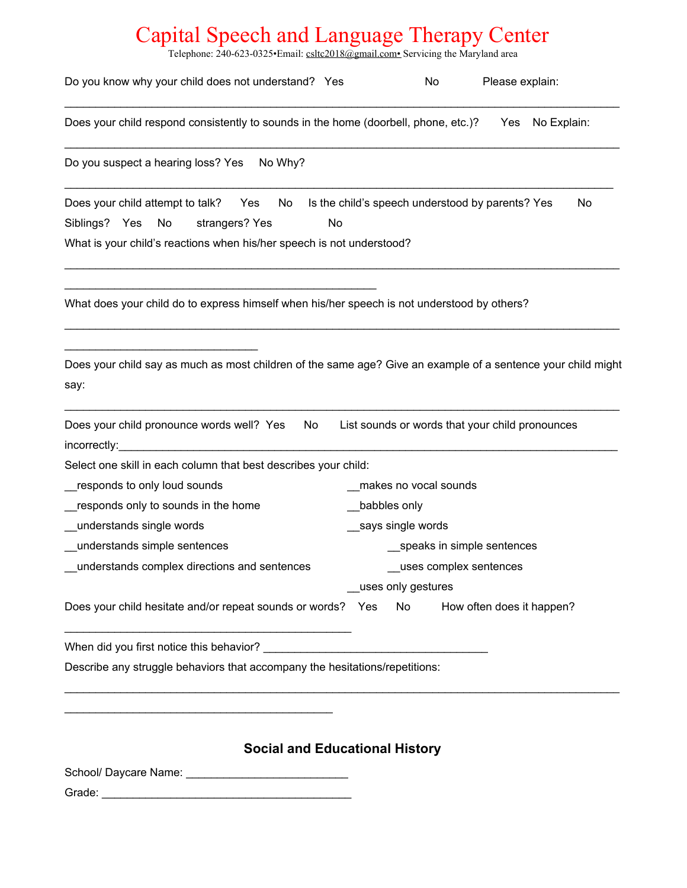Telephone: 240-623-0325•Email: csltc2018@gmail.com• Servicing the Maryland area

| Do you know why your child does not understand? Yes                                                                                                                                                                           | Please explain:<br>No                                  |  |  |
|-------------------------------------------------------------------------------------------------------------------------------------------------------------------------------------------------------------------------------|--------------------------------------------------------|--|--|
| Does your child respond consistently to sounds in the home (doorbell, phone, etc.)?                                                                                                                                           | No Explain:<br>Yes                                     |  |  |
| No Why?<br>Do you suspect a hearing loss? Yes                                                                                                                                                                                 |                                                        |  |  |
| Does your child attempt to talk? Yes<br>No<br>Siblings? Yes<br>No<br>No<br>strangers? Yes<br>What is your child's reactions when his/her speech is not understood?                                                            | Is the child's speech understood by parents? Yes<br>No |  |  |
| What does your child do to express himself when his/her speech is not understood by others?                                                                                                                                   |                                                        |  |  |
| Does your child say as much as most children of the same age? Give an example of a sentence your child might<br>say:                                                                                                          |                                                        |  |  |
| Does your child pronounce words well? Yes<br>No<br>incorrectly:                                                                                                                                                               | List sounds or words that your child pronounces        |  |  |
| Select one skill in each column that best describes your child:                                                                                                                                                               |                                                        |  |  |
| responds to only loud sounds                                                                                                                                                                                                  | makes no vocal sounds                                  |  |  |
| responds only to sounds in the home                                                                                                                                                                                           | babbles only                                           |  |  |
| understands single words                                                                                                                                                                                                      | says single words                                      |  |  |
| understands simple sentences                                                                                                                                                                                                  | speaks in simple sentences                             |  |  |
| understands complex directions and sentences                                                                                                                                                                                  | uses complex sentences                                 |  |  |
|                                                                                                                                                                                                                               | uses only gestures                                     |  |  |
| Does your child hesitate and/or repeat sounds or words? Yes No How often does it happen?                                                                                                                                      |                                                        |  |  |
| When did you first notice this behavior? Network and the state of the state of the state of the state of the state of the state of the state of the state of the state of the state of the state of the state of the state of |                                                        |  |  |
| Describe any struggle behaviors that accompany the hesitations/repetitions:                                                                                                                                                   |                                                        |  |  |
|                                                                                                                                                                                                                               |                                                        |  |  |
| <b>Social and Educational History</b>                                                                                                                                                                                         |                                                        |  |  |
|                                                                                                                                                                                                                               |                                                        |  |  |
|                                                                                                                                                                                                                               |                                                        |  |  |